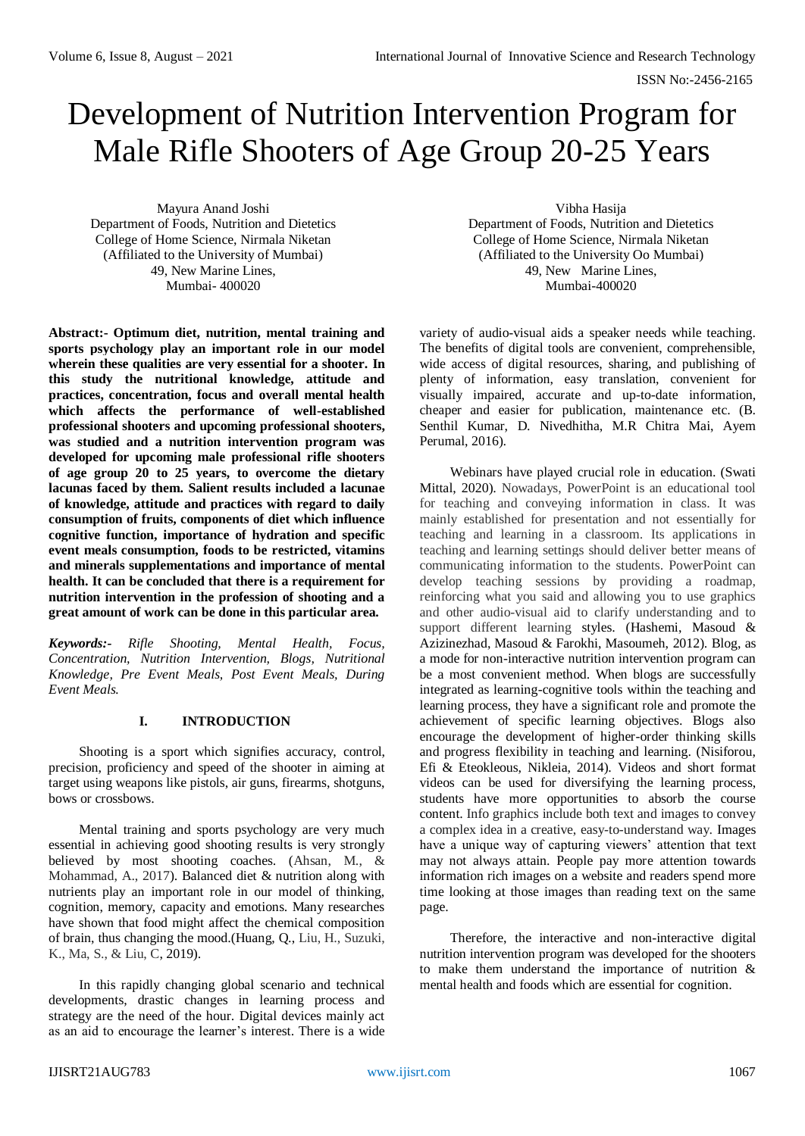# Development of Nutrition Intervention Program for Male Rifle Shooters of Age Group 20-25 Years

Mayura Anand Joshi Department of Foods, Nutrition and Dietetics College of Home Science, Nirmala Niketan (Affiliated to the University of Mumbai) 49, New Marine Lines, Mumbai- 400020

**Abstract:- Optimum diet, nutrition, mental training and sports psychology play an important role in our model wherein these qualities are very essential for a shooter. In this study the nutritional knowledge, attitude and practices, concentration, focus and overall mental health which affects the performance of well-established professional shooters and upcoming professional shooters, was studied and a nutrition intervention program was developed for upcoming male professional rifle shooters of age group 20 to 25 years, to overcome the dietary lacunas faced by them. Salient results included a lacunae of knowledge, attitude and practices with regard to daily consumption of fruits, components of diet which influence cognitive function, importance of hydration and specific event meals consumption, foods to be restricted, vitamins and minerals supplementations and importance of mental health. It can be concluded that there is a requirement for nutrition intervention in the profession of shooting and a great amount of work can be done in this particular area.**

*Keywords:- Rifle Shooting, Mental Health, Focus, Concentration, Nutrition Intervention, Blogs, Nutritional Knowledge, Pre Event Meals, Post Event Meals, During Event Meals.*

## **I. INTRODUCTION**

Shooting is a sport which signifies accuracy, control, precision, proficiency and speed of the shooter in aiming at target using weapons like pistols, air guns, firearms, shotguns, bows or crossbows.

Mental training and sports psychology are very much essential in achieving good shooting results is very strongly believed by most shooting coaches. (Ahsan, M., & Mohammad, A., 2017). Balanced diet & nutrition along with nutrients play an important role in our model of thinking, cognition, memory, capacity and emotions. Many researches have shown that food might affect the chemical composition of brain, thus changing the mood.(Huang, Q., Liu, H., Suzuki, K., Ma, S., & Liu, C, 2019).

In this rapidly changing global scenario and technical developments, drastic changes in learning process and strategy are the need of the hour. Digital devices mainly act as an aid to encourage the learner's interest. There is a wide

Vibha Hasija Department of Foods, Nutrition and Dietetics College of Home Science, Nirmala Niketan (Affiliated to the University Oo Mumbai) 49, New Marine Lines, Mumbai-400020

variety of audio-visual aids a speaker needs while teaching. The benefits of digital tools are convenient, comprehensible, wide access of digital resources, sharing, and publishing of plenty of information, easy translation, convenient for visually impaired, accurate and up-to-date information, cheaper and easier for publication, maintenance etc. (B. Senthil Kumar, D. Nivedhitha, M.R Chitra Mai, Ayem Perumal, 2016).

Webinars have played crucial role in education. (Swati Mittal, 2020). Nowadays, PowerPoint is an educational tool for teaching and conveying information in class. It was mainly established for presentation and not essentially for teaching and learning in a classroom. Its applications in teaching and learning settings should deliver better means of communicating information to the students. PowerPoint can develop teaching sessions by providing a roadmap, reinforcing what you said and allowing you to use graphics and other audio-visual aid to clarify understanding and to support different learning styles. (Hashemi, Masoud & Azizinezhad, Masoud & Farokhi, Masoumeh, 2012). Blog, as a mode for non-interactive nutrition intervention program can be a most convenient method. When blogs are successfully integrated as learning-cognitive tools within the teaching and learning process, they have a significant role and promote the achievement of specific learning objectives. Blogs also encourage the development of higher-order thinking skills and progress flexibility in teaching and learning. (Nisiforou, Efi & Eteokleous, Nikleia, 2014). Videos and short format videos can be used for diversifying the learning process, students have more opportunities to absorb the course content. Info graphics include both text and images to convey a complex idea in a creative, easy-to-understand way. Images have a unique way of capturing viewers' attention that text may not always attain. People pay more attention towards information rich images on a website and readers spend more time looking at those images than reading text on the same page.

Therefore, the interactive and non-interactive digital nutrition intervention program was developed for the shooters to make them understand the importance of nutrition & mental health and foods which are essential for cognition.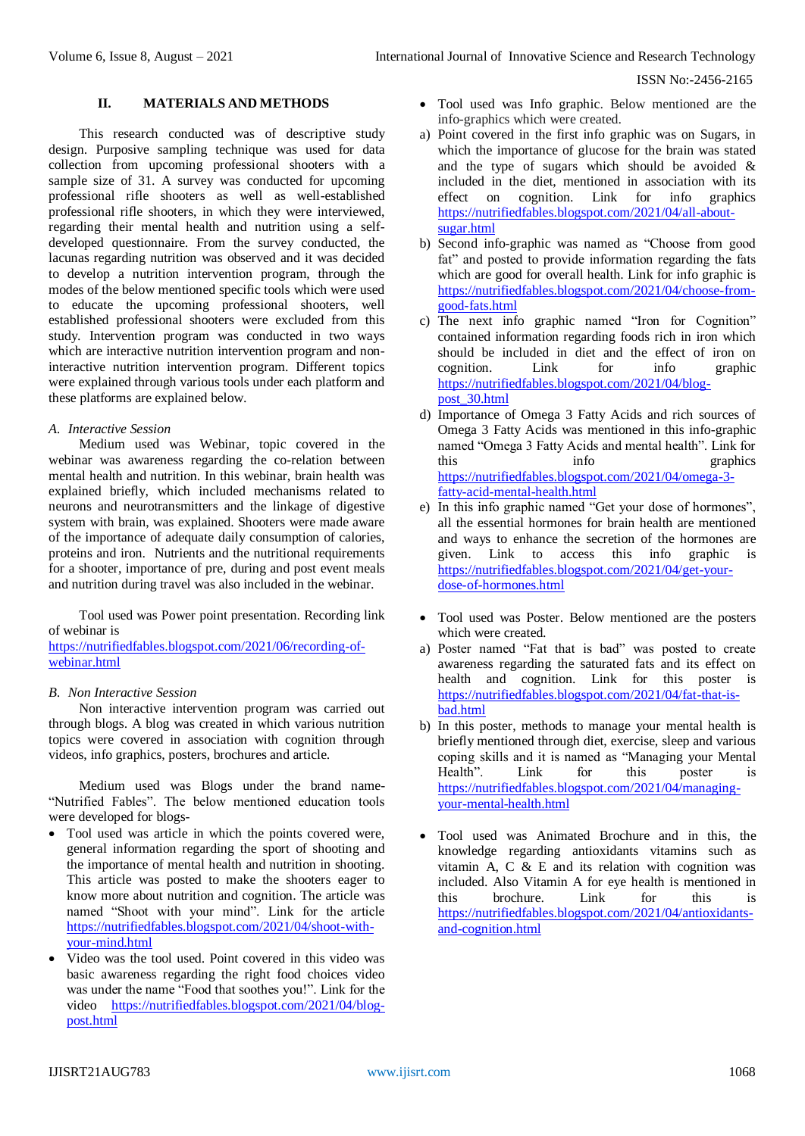### **II. MATERIALS AND METHODS**

This research conducted was of descriptive study design. Purposive sampling technique was used for data collection from upcoming professional shooters with a sample size of 31. A survey was conducted for upcoming professional rifle shooters as well as well-established professional rifle shooters, in which they were interviewed, regarding their mental health and nutrition using a selfdeveloped questionnaire. From the survey conducted, the lacunas regarding nutrition was observed and it was decided to develop a nutrition intervention program, through the modes of the below mentioned specific tools which were used to educate the upcoming professional shooters, well established professional shooters were excluded from this study. Intervention program was conducted in two ways which are interactive nutrition intervention program and noninteractive nutrition intervention program. Different topics were explained through various tools under each platform and these platforms are explained below.

### *A. Interactive Session*

Medium used was Webinar, topic covered in the webinar was awareness regarding the co-relation between mental health and nutrition. In this webinar, brain health was explained briefly, which included mechanisms related to neurons and neurotransmitters and the linkage of digestive system with brain, was explained. Shooters were made aware of the importance of adequate daily consumption of calories, proteins and iron. Nutrients and the nutritional requirements for a shooter, importance of pre, during and post event meals and nutrition during travel was also included in the webinar.

Tool used was Power point presentation. Recording link of webinar is

[https://nutrifiedfables.blogspot.com/2021/06/recording-of](https://nutrifiedfables.blogspot.com/2021/06/recording-of-webinar.html)[webinar.html](https://nutrifiedfables.blogspot.com/2021/06/recording-of-webinar.html)

## *B. Non Interactive Session*

Non interactive intervention program was carried out through blogs. A blog was created in which various nutrition topics were covered in association with cognition through videos, info graphics, posters, brochures and article.

Medium used was Blogs under the brand name- "Nutrified Fables". The below mentioned education tools were developed for blogs-

- Tool used was article in which the points covered were, general information regarding the sport of shooting and the importance of mental health and nutrition in shooting. This article was posted to make the shooters eager to know more about nutrition and cognition. The article was named "Shoot with your mind". Link for the article [https://nutrifiedfables.blogspot.com/2021/04/shoot-with](https://nutrifiedfables.blogspot.com/2021/04/shoot-with-your-mind.html)[your-mind.html](https://nutrifiedfables.blogspot.com/2021/04/shoot-with-your-mind.html)
- Video was the tool used. Point covered in this video was basic awareness regarding the right food choices video was under the name "Food that soothes you!". Link for the video [https://nutrifiedfables.blogspot.com/2021/04/blog](https://nutrifiedfables.blogspot.com/2021/04/blog-post.html)[post.html](https://nutrifiedfables.blogspot.com/2021/04/blog-post.html)
- Tool used was Info graphic. Below mentioned are the info-graphics which were created.
- a) Point covered in the first info graphic was on Sugars, in which the importance of glucose for the brain was stated and the type of sugars which should be avoided & included in the diet, mentioned in association with its effect on cognition. Link for info graphics [https://nutrifiedfables.blogspot.com/2021/04/all-about](https://nutrifiedfables.blogspot.com/2021/04/all-about-sugar.html)[sugar.html](https://nutrifiedfables.blogspot.com/2021/04/all-about-sugar.html)
- b) Second info-graphic was named as "Choose from good fat" and posted to provide information regarding the fats which are good for overall health. Link for info graphic is [https://nutrifiedfables.blogspot.com/2021/04/choose-from](https://nutrifiedfables.blogspot.com/2021/04/choose-from-good-fats.html)[good-fats.html](https://nutrifiedfables.blogspot.com/2021/04/choose-from-good-fats.html)
- c) The next info graphic named "Iron for Cognition" contained information regarding foods rich in iron which should be included in diet and the effect of iron on cognition. Link for info graphic [https://nutrifiedfables.blogspot.com/2021/04/blog](https://nutrifiedfables.blogspot.com/2021/04/blog-post_30.html)[post\\_30.html](https://nutrifiedfables.blogspot.com/2021/04/blog-post_30.html)
- d) Importance of Omega 3 Fatty Acids and rich sources of Omega 3 Fatty Acids was mentioned in this info-graphic named "Omega 3 Fatty Acids and mental health". Link for this info graphics [https://nutrifiedfables.blogspot.com/2021/04/omega-3](https://nutrifiedfables.blogspot.com/2021/04/omega-3-fatty-acid-mental-health.html) [fatty-acid-mental-health.html](https://nutrifiedfables.blogspot.com/2021/04/omega-3-fatty-acid-mental-health.html)
- e) In this info graphic named "Get your dose of hormones", all the essential hormones for brain health are mentioned and ways to enhance the secretion of the hormones are given. Link to access this info graphic is [https://nutrifiedfables.blogspot.com/2021/04/get-your](https://nutrifiedfables.blogspot.com/2021/04/get-your-dose-of-hormones.html)[dose-of-hormones.html](https://nutrifiedfables.blogspot.com/2021/04/get-your-dose-of-hormones.html)
- Tool used was Poster. Below mentioned are the posters which were created.
- a) Poster named "Fat that is bad" was posted to create awareness regarding the saturated fats and its effect on health and cognition. Link for this poster is [https://nutrifiedfables.blogspot.com/2021/04/fat-that-is](https://nutrifiedfables.blogspot.com/2021/04/fat-that-is-bad.html)[bad.html](https://nutrifiedfables.blogspot.com/2021/04/fat-that-is-bad.html)
- b) In this poster, methods to manage your mental health is briefly mentioned through diet, exercise, sleep and various coping skills and it is named as "Managing your Mental Health". Link for this poster is [https://nutrifiedfables.blogspot.com/2021/04/managing](https://nutrifiedfables.blogspot.com/2021/04/managing-your-mental-health.html)[your-mental-health.html](https://nutrifiedfables.blogspot.com/2021/04/managing-your-mental-health.html)
- Tool used was Animated Brochure and in this, the knowledge regarding antioxidants vitamins such as vitamin A, C & E and its relation with cognition was included. Also Vitamin A for eye health is mentioned in this brochure. Link for this is [https://nutrifiedfables.blogspot.com/2021/04/antioxidants](https://nutrifiedfables.blogspot.com/2021/04/antioxidants-and-cognition.html)[and-cognition.html](https://nutrifiedfables.blogspot.com/2021/04/antioxidants-and-cognition.html)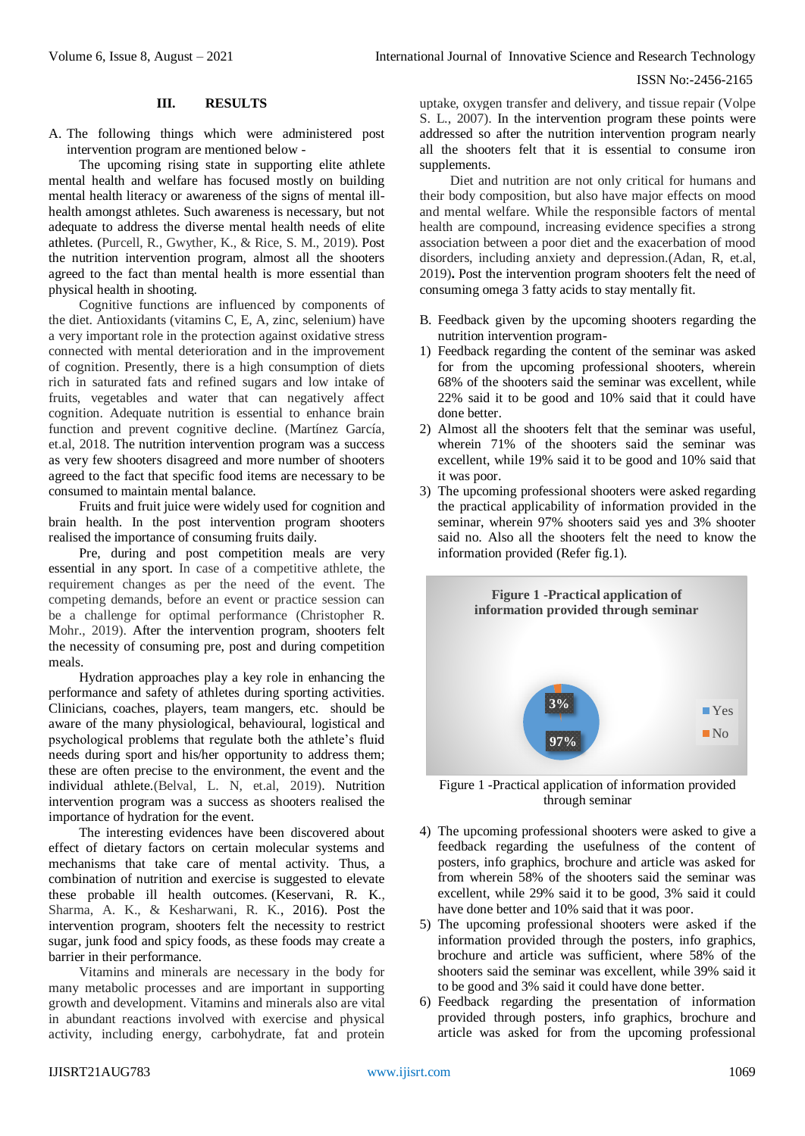#### **III. RESULTS**

A. The following things which were administered post intervention program are mentioned below -

The upcoming rising state in supporting elite athlete mental health and welfare has focused mostly on building mental health literacy or awareness of the signs of mental illhealth amongst athletes. Such awareness is necessary, but not adequate to address the diverse mental health needs of elite athletes. (Purcell, R., Gwyther, K., & Rice, S. M., 2019). Post the nutrition intervention program, almost all the shooters agreed to the fact than mental health is more essential than physical health in shooting.

Cognitive functions are influenced by components of the diet. Antioxidants (vitamins C, E, A, zinc, selenium) have a very important role in the protection against oxidative stress connected with mental deterioration and in the improvement of cognition. Presently, there is a high consumption of diets rich in saturated fats and refined sugars and low intake of fruits, vegetables and water that can negatively affect cognition. Adequate nutrition is essential to enhance brain function and prevent cognitive decline. (Martínez García, et.al, 2018. The nutrition intervention program was a success as very few shooters disagreed and more number of shooters agreed to the fact that specific food items are necessary to be consumed to maintain mental balance.

Fruits and fruit juice were widely used for cognition and brain health. In the post intervention program shooters realised the importance of consuming fruits daily.

Pre, during and post competition meals are very essential in any sport. In case of a competitive athlete, the requirement changes as per the need of the event. The competing demands, before an event or practice session can be a challenge for optimal performance (Christopher R. Mohr., 2019). After the intervention program, shooters felt the necessity of consuming pre, post and during competition meals.

Hydration approaches play a key role in enhancing the performance and safety of athletes during sporting activities. Clinicians, coaches, players, team mangers, etc. should be aware of the many physiological, behavioural, logistical and psychological problems that regulate both the athlete's fluid needs during sport and his/her opportunity to address them; these are often precise to the environment, the event and the individual athlete.(Belval, L. N, et.al, 2019). Nutrition intervention program was a success as shooters realised the importance of hydration for the event.

The interesting evidences have been discovered about effect of dietary factors on certain molecular systems and mechanisms that take care of mental activity. Thus, a combination of nutrition and exercise is suggested to elevate these probable ill health outcomes. (Keservani, R. K., Sharma, A. K., & Kesharwani, R. K., 2016). Post the intervention program, shooters felt the necessity to restrict sugar, junk food and spicy foods, as these foods may create a barrier in their performance.

Vitamins and minerals are necessary in the body for many metabolic processes and are important in supporting growth and development. Vitamins and minerals also are vital in abundant reactions involved with exercise and physical activity, including energy, carbohydrate, fat and protein

uptake, oxygen transfer and delivery, and tissue repair (Volpe S. L., 2007). In the intervention program these points were addressed so after the nutrition intervention program nearly all the shooters felt that it is essential to consume iron supplements.

Diet and nutrition are not only critical for humans and their body composition, but also have major effects on mood and mental welfare. While the responsible factors of mental health are compound, increasing evidence specifies a strong association between a poor diet and the exacerbation of mood disorders, including anxiety and depression.(Adan, R, et.al, 2019)**.** Post the intervention program shooters felt the need of consuming omega 3 fatty acids to stay mentally fit.

- B. Feedback given by the upcoming shooters regarding the nutrition intervention program-
- 1) Feedback regarding the content of the seminar was asked for from the upcoming professional shooters, wherein 68% of the shooters said the seminar was excellent, while 22% said it to be good and 10% said that it could have done better.
- 2) Almost all the shooters felt that the seminar was useful, wherein 71% of the shooters said the seminar was excellent, while 19% said it to be good and 10% said that it was poor.
- 3) The upcoming professional shooters were asked regarding the practical applicability of information provided in the seminar, wherein 97% shooters said yes and 3% shooter said no. Also all the shooters felt the need to know the information provided (Refer fig.1).



Figure 1 -Practical application of information provided through seminar

- 4) The upcoming professional shooters were asked to give a feedback regarding the usefulness of the content of posters, info graphics, brochure and article was asked for from wherein 58% of the shooters said the seminar was excellent, while 29% said it to be good, 3% said it could have done better and 10% said that it was poor.
- 5) The upcoming professional shooters were asked if the information provided through the posters, info graphics, brochure and article was sufficient, where 58% of the shooters said the seminar was excellent, while 39% said it to be good and 3% said it could have done better.
- 6) Feedback regarding the presentation of information provided through posters, info graphics, brochure and article was asked for from the upcoming professional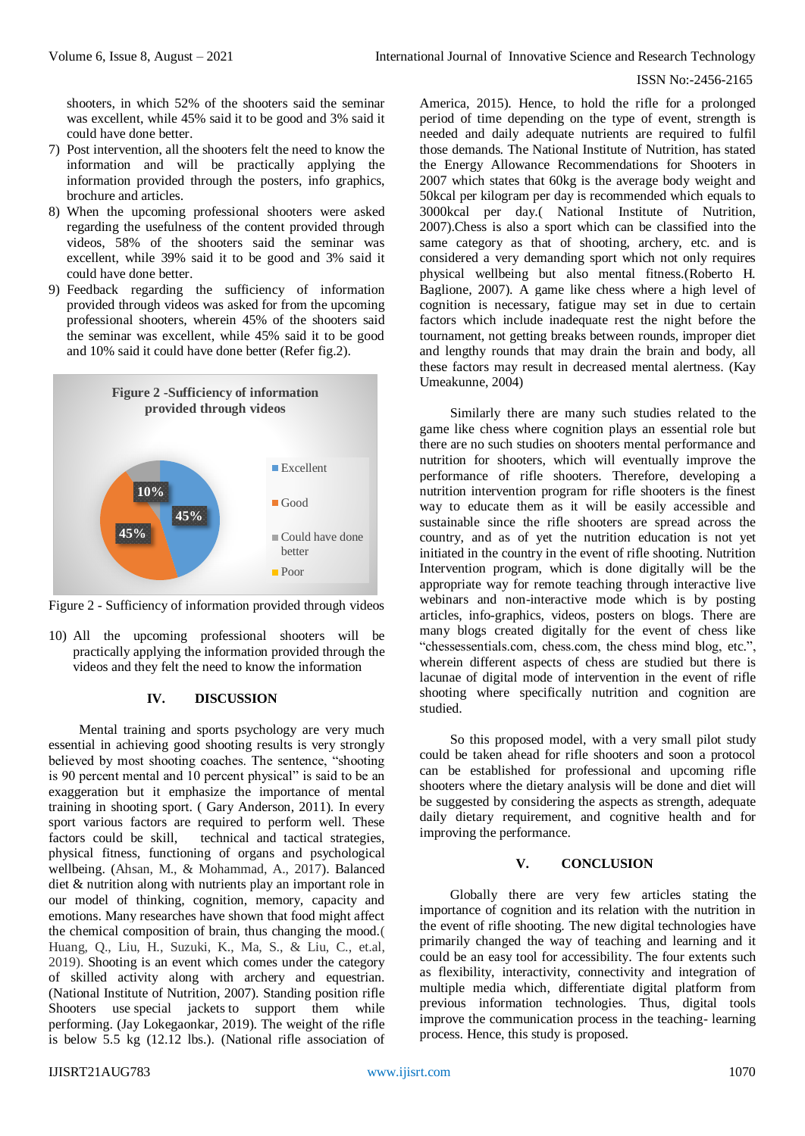shooters, in which 52% of the shooters said the seminar was excellent, while 45% said it to be good and 3% said it could have done better.

- 7) Post intervention, all the shooters felt the need to know the information and will be practically applying the information provided through the posters, info graphics, brochure and articles.
- 8) When the upcoming professional shooters were asked regarding the usefulness of the content provided through videos, 58% of the shooters said the seminar was excellent, while 39% said it to be good and 3% said it could have done better.
- 9) Feedback regarding the sufficiency of information provided through videos was asked for from the upcoming professional shooters, wherein 45% of the shooters said the seminar was excellent, while 45% said it to be good and 10% said it could have done better (Refer fig.2).





10) All the upcoming professional shooters will be practically applying the information provided through the videos and they felt the need to know the information

## **IV. DISCUSSION**

Mental training and sports psychology are very much essential in achieving good shooting results is very strongly believed by most shooting coaches. The sentence, "shooting is 90 percent mental and 10 percent physical" is said to be an exaggeration but it emphasize the importance of mental training in shooting sport. ( Gary Anderson, 2011). In every sport various factors are required to perform well. These factors could be skill, technical and tactical strategies, physical fitness, functioning of organs and psychological wellbeing. (Ahsan, M., & Mohammad, A., 2017). Balanced diet & nutrition along with nutrients play an important role in our model of thinking, cognition, memory, capacity and emotions. Many researches have shown that food might affect the chemical composition of brain, thus changing the mood.( Huang, Q., Liu, H., Suzuki, K., Ma, S., & Liu, C., et.al, 2019). Shooting is an event which comes under the category of skilled activity along with archery and equestrian. (National Institute of Nutrition, 2007). Standing position rifle Shooters use special jackets to support them while performing. (Jay Lokegaonkar, 2019). The weight of the rifle is below 5.5 kg (12.12 lbs.). (National rifle association of

America, 2015). Hence, to hold the rifle for a prolonged period of time depending on the type of event, strength is needed and daily adequate nutrients are required to fulfil those demands. The National Institute of Nutrition, has stated the Energy Allowance Recommendations for Shooters in 2007 which states that 60kg is the average body weight and 50kcal per kilogram per day is recommended which equals to 3000kcal per day.( National Institute of Nutrition, 2007).Chess is also a sport which can be classified into the same category as that of shooting, archery, etc. and is considered a very demanding sport which not only requires physical wellbeing but also mental fitness.(Roberto H*.* Baglione*,* 2007). A game like chess where a high level of cognition is necessary, fatigue may set in due to certain factors which include inadequate rest the night before the tournament, not getting breaks between rounds, improper diet and lengthy rounds that may drain the brain and body, all these factors may result in decreased mental alertness. (Kay Umeakunne, 2004)

Similarly there are many such studies related to the game like chess where cognition plays an essential role but there are no such studies on shooters mental performance and nutrition for shooters, which will eventually improve the performance of rifle shooters. Therefore, developing a nutrition intervention program for rifle shooters is the finest way to educate them as it will be easily accessible and sustainable since the rifle shooters are spread across the country, and as of yet the nutrition education is not yet initiated in the country in the event of rifle shooting. Nutrition Intervention program, which is done digitally will be the appropriate way for remote teaching through interactive live webinars and non-interactive mode which is by posting articles, info-graphics, videos, posters on blogs. There are many blogs created digitally for the event of chess like "chessessentials.com, chess.com, the chess mind blog, etc.", wherein different aspects of chess are studied but there is lacunae of digital mode of intervention in the event of rifle shooting where specifically nutrition and cognition are studied.

So this proposed model, with a very small pilot study could be taken ahead for rifle shooters and soon a protocol can be established for professional and upcoming rifle shooters where the dietary analysis will be done and diet will be suggested by considering the aspects as strength, adequate daily dietary requirement, and cognitive health and for improving the performance.

#### **V. CONCLUSION**

Globally there are very few articles stating the importance of cognition and its relation with the nutrition in the event of rifle shooting. The new digital technologies have primarily changed the way of teaching and learning and it could be an easy tool for accessibility. The four extents such as flexibility, interactivity, connectivity and integration of multiple media which, differentiate digital platform from previous information technologies. Thus, digital tools improve the communication process in the teaching- learning process. Hence, this study is proposed.